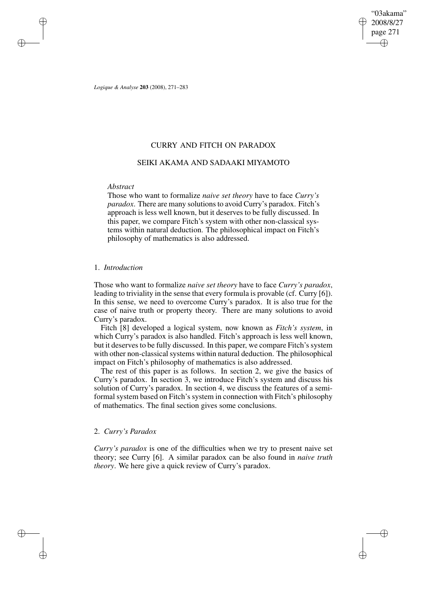"03akama" 2008/8/27 page 271 ✐ ✐

✐

✐

*Logique & Analyse* **203** (2008), 271–283

## CURRY AND FITCH ON PARADOX

## SEIKI AKAMA AND SADAAKI MIYAMOTO

### *Abstract*

✐

✐

✐

✐

Those who want to formalize *naive set theory* have to face *Curry's paradox*. There are many solutions to avoid Curry's paradox. Fitch's approach is less well known, but it deserves to be fully discussed. In this paper, we compare Fitch's system with other non-classical systems within natural deduction. The philosophical impact on Fitch's philosophy of mathematics is also addressed.

## 1. *Introduction*

Those who want to formalize *naive set theory* have to face *Curry's paradox*, leading to triviality in the sense that every formula is provable (cf. Curry [6]). In this sense, we need to overcome Curry's paradox. It is also true for the case of naive truth or property theory. There are many solutions to avoid Curry's paradox.

Fitch [8] developed a logical system, now known as *Fitch's system*, in which Curry's paradox is also handled. Fitch's approach is less well known, but it deserves to be fully discussed. In this paper, we compare Fitch's system with other non-classical systems within natural deduction. The philosophical impact on Fitch's philosophy of mathematics is also addressed.

The rest of this paper is as follows. In section 2, we give the basics of Curry's paradox. In section 3, we introduce Fitch's system and discuss his solution of Curry's paradox. In section 4, we discuss the features of a semiformal system based on Fitch's system in connection with Fitch's philosophy of mathematics. The final section gives some conclusions.

# 2. *Curry's Paradox*

*Curry's paradox* is one of the difficulties when we try to present naive set theory; see Curry [6]. A similar paradox can be also found in *naive truth theory*. We here give a quick review of Curry's paradox.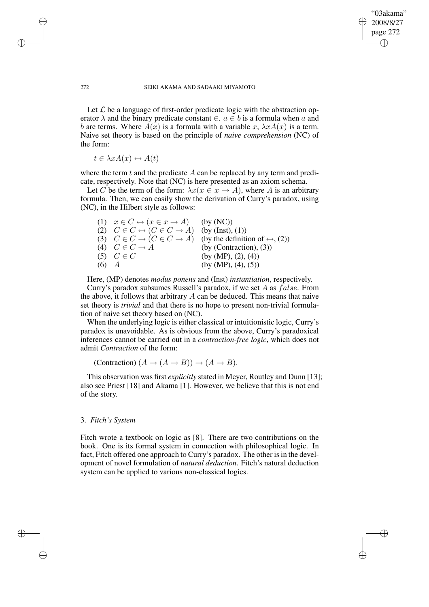✐

✐

#### 272 SEIKI AKAMA AND SADAAKI MIYAMOTO

Let  $\mathcal L$  be a language of first-order predicate logic with the abstraction operator  $\lambda$  and the binary predicate constant  $\in$ .  $a \in b$  is a formula when a and b are terms. Where  $A(x)$  is a formula with a variable x,  $\lambda x A(x)$  is a term. Naive set theory is based on the principle of *naive comprehension* (NC) of the form:

 $t \in \lambda x A(x) \leftrightarrow A(t)$ 

✐

✐

✐

✐

where the term  $t$  and the predicate  $A$  can be replaced by any term and predicate, respectively. Note that (NC) is here presented as an axiom schema.

Let C be the term of the form:  $\lambda x(x \in x \rightarrow A)$ , where A is an arbitrary formula. Then, we can easily show the derivation of Curry's paradox, using (NC), in the Hilbert style as follows:

|           | (1) $x \in C \leftrightarrow (x \in x \rightarrow A)$ (by (NC))        |                                                                                                  |
|-----------|------------------------------------------------------------------------|--------------------------------------------------------------------------------------------------|
|           | (2) $C \in C \leftrightarrow (C \in C \rightarrow A)$ (by (Inst), (1)) |                                                                                                  |
|           |                                                                        | (3) $C \in C \rightarrow (C \in C \rightarrow A)$ (by the definition of $\leftrightarrow$ , (2)) |
|           | (4) $C \in C \rightarrow A$                                            | (by (Contraction), $(3)$ )                                                                       |
|           | $(5)$ $C \in C$                                                        | (by (MP), (2), (4))                                                                              |
| $(6)$ $A$ |                                                                        | (by (MP), (4), (5))                                                                              |

Here, (MP) denotes *modus ponens* and (Inst) *instantiation*, respectively.

Curry's paradox subsumes Russell's paradox, if we set A as  $false$ . From the above, it follows that arbitrary  $A$  can be deduced. This means that naive set theory is *trivial* and that there is no hope to present non-trivial formulation of naive set theory based on (NC).

When the underlying logic is either classical or intuitionistic logic, Curry's paradox is unavoidable. As is obvious from the above, Curry's paradoxical inferences cannot be carried out in a *contraction-free logic*, which does not admit *Contraction* of the form:

(Contraction)  $(A \rightarrow (A \rightarrow B)) \rightarrow (A \rightarrow B)$ .

This observation was first *explicitly* stated in Meyer, Routley and Dunn [13]; also see Priest [18] and Akama [1]. However, we believe that this is not end of the story.

### 3. *Fitch's System*

Fitch wrote a textbook on logic as [8]. There are two contributions on the book. One is its formal system in connection with philosophical logic. In fact, Fitch offered one approach to Curry's paradox. The other is in the development of novel formulation of *natural deduction*. Fitch's natural deduction system can be applied to various non-classical logics.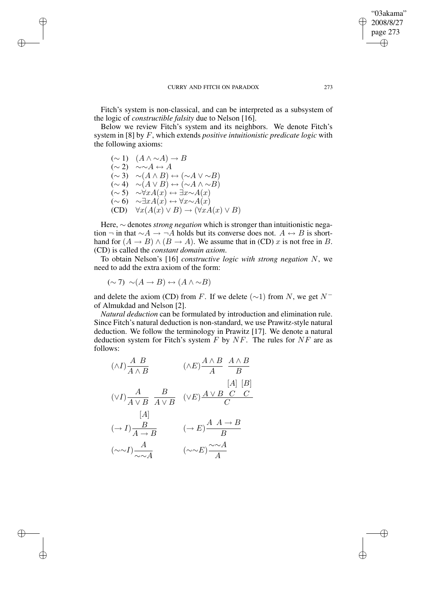✐

✐

Fitch's system is non-classical, and can be interpreted as a subsystem of the logic of *constructible falsity* due to Nelson [16].

Below we review Fitch's system and its neighbors. We denote Fitch's system in [8] by F, which extends *positive intuitionistic predicate logic* with the following axioms:

 $(\sim 1)$   $(A \wedge \sim A) \rightarrow B$  $(\sim 2)$  ~∼ $A \leftrightarrow A$  $(\sim 3) \sim (A \land B) \leftrightarrow (\sim A \lor \sim B)$  $(\sim 4) \sim (A \vee B) \leftrightarrow (\sim A \wedge \sim B)$  $(\sim 5) \sim \forall x A(x) \leftrightarrow \exists x \sim A(x)$  $(\sim 6)$  ∼∃x $A(x) \leftrightarrow \forall x \sim A(x)$  $(CD) \quad \forall x (A(x) \vee B) \rightarrow (\forall x A(x) \vee B)$ 

✐

✐

✐

✐

Here, ∼ denotes *strong negation* which is stronger than intuitionistic negation ¬ in that  $\sim A \rightarrow \neg A$  holds but its converse does not.  $A \leftrightarrow B$  is shorthand for  $(A \rightarrow B) \land (B \rightarrow A)$ . We assume that in (CD) x is not free in B. (CD) is called the *constant domain axiom*.

To obtain Nelson's [16] *constructive logic with strong negation* N, we need to add the extra axiom of the form:

$$
(\sim 7) \sim (A \to B) \leftrightarrow (A \land \sim B)
$$

and delete the axiom (CD) from F. If we delete ( $\sim$ 1) from N, we get N<sup>-</sup> of Almukdad and Nelson [2].

*Natural deduction* can be formulated by introduction and elimination rule. Since Fitch's natural deduction is non-standard, we use Prawitz-style natural deduction. We follow the terminology in Prawitz [17]. We denote a natural deduction system for Fitch's system  $F$  by  $NF$ . The rules for  $NF$  are as follows:

$$
(\wedge I) \frac{A \ B}{A \wedge B} \qquad (\wedge E) \frac{A \wedge B}{A} \frac{A \wedge B}{B}
$$
  
\n
$$
(\vee I) \frac{A}{A \vee B} \frac{B}{A \vee B} \qquad (\vee E) \frac{A \vee B \ C \ C}{C}
$$
  
\n
$$
[A]
$$
  
\n
$$
(\rightarrow I) \frac{B}{A \rightarrow B} \qquad (\rightarrow E) \frac{A \ A \rightarrow B}{B}
$$
  
\n
$$
(\sim \sim I) \frac{A}{\sim \sim A} \qquad (\sim \sim E) \frac{\sim \sim A}{A}
$$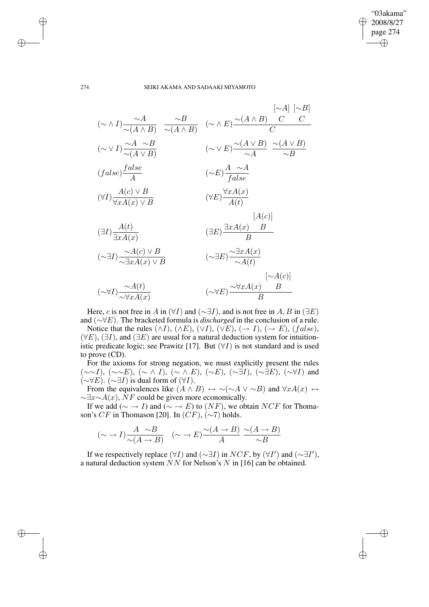$\bigoplus$ 

✐

#### 274 SEIKI AKAMA AND SADAAKI MIYAMOTO

$$
(\sim \wedge I) \frac{\sim A}{\sim (A \wedge B)} \frac{\sim B}{\sim (A \wedge B)} \quad (\sim \wedge E) \frac{\sim (A \wedge B) \quad C \quad C}{C}
$$
  
\n
$$
(\sim \vee I) \frac{\sim A \sim B}{\sim (A \vee B)} \quad (\sim \vee E) \frac{\sim (A \vee B) \quad \sim (A \vee B)}{\sim A} \frac{\sim (A \vee B)}{\sim B}
$$
  
\n
$$
(false) \frac{false}{A} \quad (\sim E) \frac{A \sim A}{false}
$$
  
\n
$$
(\forall I) \frac{A(c) \vee B}{\forall x A(x) \vee B} \quad (\forall E) \frac{\forall x A(x)}{A(t)}
$$
  
\n
$$
(\exists I) \frac{A(t)}{\exists x A(x)} \quad (\exists E) \frac{\exists x A(x) \quad B}{B}
$$
  
\n
$$
(\sim \exists I) \frac{\sim A(c) \vee B}{\sim \exists x A(x) \vee B} \quad (\sim \exists E) \frac{\sim \exists x A(x)}{\sim A(t)}
$$
  
\n
$$
[\sim A(c)]
$$
  
\n
$$
(\sim \forall I) \frac{\sim A(t)}{\sim \forall x A(x)} \quad (\sim \forall E) \frac{\sim \forall x A(x) \quad B}{B}
$$

Here, c is not free in A in  $(\forall I)$  and  $(\sim \exists I)$ , and is not free in A, B in  $(\exists E)$ and (∼∀E). The bracketed formula is *discharged* in the conclusion of a rule.

Notice that the rules  $(\land I)$ ,  $(\land E)$ ,  $(\lor I)$ ,  $(\lor E)$ ,  $(\to I)$ ,  $(\to E)$ ,  $(false)$ ,  $(\forall E)$ ,  $(\exists I)$ , and  $(\exists E)$  are usual for a natural deduction system for intuitionistic predicate logic; see Prawitz [17]. But  $(\forall I)$  is not standard and is used to prove (CD).

For the axioms for strong negation, we must explicitly present the rules  $(\sim \sim I)$ ,  $(\sim \sim E)$ ,  $(\sim \wedge I)$ ,  $(\sim \wedge E)$ ,  $(\sim E)$ ,  $(\sim \exists I)$ ,  $(\sim \exists E)$ ,  $(\sim \forall I)$  and  $(\sim \forall E)$ .  $(\sim \exists I)$  is dual form of  $(\forall I)$ .

From the equivalences like  $(A \wedge B) \leftrightarrow \sim (\sim A \vee \sim B)$  and  $\forall x A(x) \leftrightarrow \sim B$  $\sim \exists x \sim A(x)$ , NF could be given more economically.

If we add ( $\sim \rightarrow I$ ) and ( $\sim \rightarrow E$ ) to (NF), we obtain NCF for Thomason's  $CF$  in Thomason [20]. In  $(CF)$ ,  $(\sim 7)$  holds.

$$
(\sim \to I) \frac{A \sim B}{\sim (A \to B)} \quad (\sim \to E) \frac{\sim (A \to B)}{A} \frac{\sim (A \to B)}{\sim B}
$$

If we respectively replace  $(\forall I)$  and  $(\sim \exists I)$  in  $NCF$ , by  $(\forall I')$  and  $(\sim \exists I')$ , a natural deduction system NN for Nelson's N in [16] can be obtained.

✐

✐

✐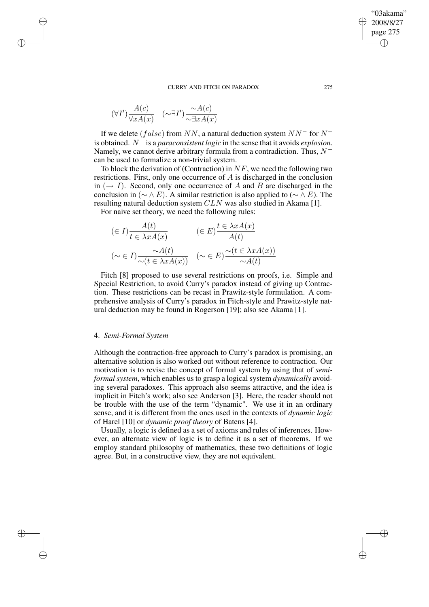$$
(\forall I')\frac{A(c)}{\forall xA(x)} \quad (\sim \exists I')\frac{\sim A(c)}{\sim \exists xA(x)}
$$

✐

✐

✐

✐

If we delete (false) from NN, a natural deduction system  $NN^-$  for  $N^$ is obtained.  $N^{-}$  is a *paraconsistent logic* in the sense that it avoids *explosion*. Namely, we cannot derive arbitrary formula from a contradiction. Thus,  $N^$ can be used to formalize a non-trivial system.

To block the derivation of (Contraction) in  $NF$ , we need the following two restrictions. First, only one occurrence of  $A$  is discharged in the conclusion in  $(\rightarrow I)$ . Second, only one occurrence of A and B are discharged in the conclusion in ( $\sim \wedge E$ ). A similar restriction is also applied to ( $\sim \wedge E$ ). The resulting natural deduction system  $CLN$  was also studied in Akama [1].

For naive set theory, we need the following rules:

$$
\begin{aligned}\n(\in I) \frac{A(t)}{t \in \lambda x A(x)} & (\in E) \frac{t \in \lambda x A(x)}{A(t)} \\
(\sim \in I) \frac{\sim A(t)}{\sim (t \in \lambda x A(x))} & (\sim \in E) \frac{\sim (t \in \lambda x A(x))}{\sim A(t)}\n\end{aligned}
$$

Fitch [8] proposed to use several restrictions on proofs, i.e. Simple and Special Restriction, to avoid Curry's paradox instead of giving up Contraction. These restrictions can be recast in Prawitz-style formulation. A comprehensive analysis of Curry's paradox in Fitch-style and Prawitz-style natural deduction may be found in Rogerson [19]; also see Akama [1].

## 4. *Semi-Formal System*

Although the contraction-free approach to Curry's paradox is promising, an alternative solution is also worked out without reference to contraction. Our motivation is to revise the concept of formal system by using that of *semiformal system*, which enables us to grasp a logical system *dynamically* avoiding several paradoxes. This approach also seems attractive, and the idea is implicit in Fitch's work; also see Anderson [3]. Here, the reader should not be trouble with the use of the term "dynamic". We use it in an ordinary sense, and it is different from the ones used in the contexts of *dynamic logic* of Harel [10] or *dynamic proof theory* of Batens [4].

Usually, a logic is defined as a set of axioms and rules of inferences. However, an alternate view of logic is to define it as a set of theorems. If we employ standard philosophy of mathematics, these two definitions of logic agree. But, in a constructive view, they are not equivalent.

"03akama" 2008/8/27 page 275

✐

✐

✐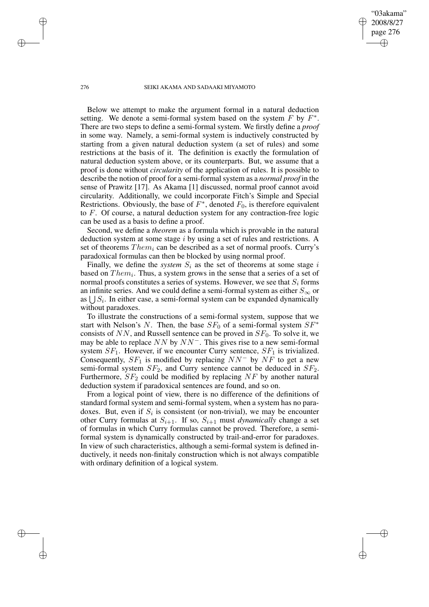"03akama" 2008/8/27 page 276

✐

✐

✐

✐

Below we attempt to make the argument formal in a natural deduction setting. We denote a semi-formal system based on the system  $F$  by  $F^*$ . There are two steps to define a semi-formal system. We firstly define a *proof* in some way. Namely, a semi-formal system is inductively constructed by starting from a given natural deduction system (a set of rules) and some restrictions at the basis of it. The definition is exactly the formulation of natural deduction system above, or its counterparts. But, we assume that a proof is done without *circularity* of the application of rules. It is possible to describe the notion of proof for a semi-formal system as a *normal proof* in the sense of Prawitz [17]. As Akama [1] discussed, normal proof cannot avoid circularity. Additionally, we could incorporate Fitch's Simple and Special Restrictions. Obviously, the base of  $F^*$ , denoted  $F_0$ , is therefore equivalent to F. Of course, a natural deduction system for any contraction-free logic can be used as a basis to define a proof.

Second, we define a *theorem* as a formula which is provable in the natural deduction system at some stage i by using a set of rules and restrictions. A set of theorems  $Them_i$  can be described as a set of normal proofs. Curry's paradoxical formulas can then be blocked by using normal proof.

Finally, we define the *system*  $S_i$  as the set of theorems at some stage i based on  $Them_i$ . Thus, a system grows in the sense that a series of a set of normal proofs constitutes a series of systems. However, we see that  $S_i$  forms an infinite series. And we could define a semi-formal system as either  $S_{\infty}$  or as  $\bigcup S_i$ . In either case, a semi-formal system can be expanded dynamically without paradoxes.

To illustrate the constructions of a semi-formal system, suppose that we start with Nelson's N. Then, the base  $SF_0$  of a semi-formal system  $SF^*$ consists of  $NN$ , and Russell sentence can be proved in  $SF<sub>0</sub>$ . To solve it, we may be able to replace  $NN$  by  $NN^-$ . This gives rise to a new semi-formal system  $SF<sub>1</sub>$ . However, if we encounter Curry sentence,  $SF<sub>1</sub>$  is trivialized. Consequently,  $SF_1$  is modified by replacing  $NN^-$  by  $NF$  to get a new semi-formal system  $SF_2$ , and Curry sentence cannot be deduced in  $SF_2$ . Furthermore,  $SF_2$  could be modified by replacing  $NF$  by another natural deduction system if paradoxical sentences are found, and so on.

From a logical point of view, there is no difference of the definitions of standard formal system and semi-formal system, when a system has no paradoxes. But, even if  $S_i$  is consistent (or non-trivial), we may be encounter other Curry formulas at  $S_{i+1}$ . If so,  $S_{i+1}$  must *dynamically* change a set of formulas in which Curry formulas cannot be proved. Therefore, a semiformal system is dynamically constructed by trail-and-error for paradoxes. In view of such characteristics, although a semi-formal system is defined inductively, it needs non-finitaly construction which is not always compatible with ordinary definition of a logical system.

✐

✐

✐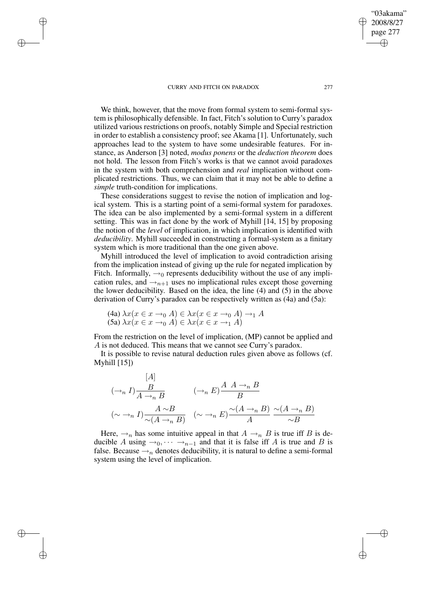✐

✐

✐

✐

We think, however, that the move from formal system to semi-formal system is philosophically defensible. In fact, Fitch's solution to Curry's paradox utilized various restrictions on proofs, notably Simple and Special restriction in order to establish a consistency proof; see Akama [1]. Unfortunately, such approaches lead to the system to have some undesirable features. For instance, as Anderson [3] noted, *modus ponens* or the *deduction theorem* does not hold. The lesson from Fitch's works is that we cannot avoid paradoxes in the system with both comprehension and *real* implication without complicated restrictions. Thus, we can claim that it may not be able to define a *simple* truth-condition for implications.

These considerations suggest to revise the notion of implication and logical system. This is a starting point of a semi-formal system for paradoxes. The idea can be also implemented by a semi-formal system in a different setting. This was in fact done by the work of Myhill [14, 15] by proposing the notion of the *level* of implication, in which implication is identified with *deducibility*. Myhill succeeded in constructing a formal-system as a finitary system which is more traditional than the one given above.

Myhill introduced the level of implication to avoid contradiction arising from the implication instead of giving up the rule for negated implication by Fitch. Informally,  $\rightarrow_0$  represents deducibility without the use of any implication rules, and  $\rightarrow_{n+1}$  uses no implicational rules except those governing the lower deducibility. Based on the idea, the line (4) and (5) in the above derivation of Curry's paradox can be respectively written as (4a) and (5a):

(4a) 
$$
\lambda x(x \in x \to_0 A) \in \lambda x(x \in x \to_0 A) \to_1 A
$$
  
(5a)  $\lambda x(x \in x \to_0 A) \in \lambda x(x \in x \to_1 A)$ 

 $\mathcal{A}$ 

From the restriction on the level of implication, (MP) cannot be applied and A is not deduced. This means that we cannot see Curry's paradox.

It is possible to revise natural deduction rules given above as follows (cf. Myhill  $[15]$ 

$$
[A]
$$
\n
$$
(\rightarrow_n I) \frac{B}{A \rightarrow_n B} \qquad (\rightarrow_n E) \frac{A \quad A \rightarrow_n B}{B}
$$
\n
$$
(\sim \rightarrow_n I) \frac{A \sim B}{\sim (A \rightarrow_n B)} \qquad (\sim \rightarrow_n E) \frac{\sim (A \rightarrow_n B)}{A} \frac{\sim (A \rightarrow_n B)}{\sim B}
$$

Here,  $\rightarrow_n$  has some intuitive appeal in that  $A \rightarrow_n B$  is true iff B is deducible A using  $\rightarrow_0, \cdots \rightarrow_{n-1}$  and that it is false iff A is true and B is false. Because  $\rightarrow_n$  denotes deducibility, it is natural to define a semi-formal system using the level of implication.

"03akama" 2008/8/27 page 277

✐

✐

✐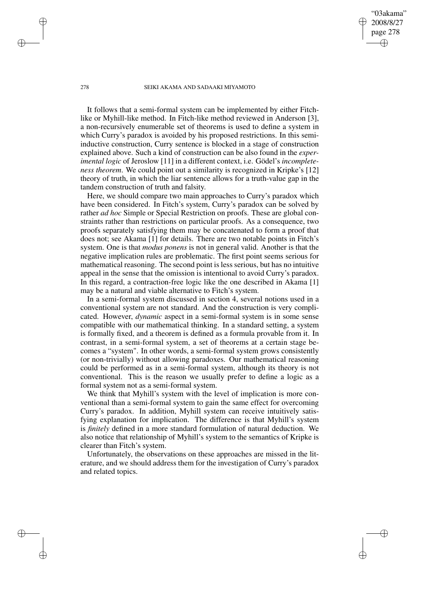"03akama" 2008/8/27 page 278

✐

✐

✐

✐

It follows that a semi-formal system can be implemented by either Fitchlike or Myhill-like method. In Fitch-like method reviewed in Anderson [3], a non-recursively enumerable set of theorems is used to define a system in which Curry's paradox is avoided by his proposed restrictions. In this semiinductive construction, Curry sentence is blocked in a stage of construction explained above. Such a kind of construction can be also found in the *experimental logic* of Jeroslow [11] in a different context, i.e. Gödel's *incompleteness theorem*. We could point out a similarity is recognized in Kripke's [12] theory of truth, in which the liar sentence allows for a truth-value gap in the tandem construction of truth and falsity.

Here, we should compare two main approaches to Curry's paradox which have been considered. In Fitch's system, Curry's paradox can be solved by rather *ad hoc* Simple or Special Restriction on proofs. These are global constraints rather than restrictions on particular proofs. As a consequence, two proofs separately satisfying them may be concatenated to form a proof that does not; see Akama [1] for details. There are two notable points in Fitch's system. One is that *modus ponens* is not in general valid. Another is that the negative implication rules are problematic. The first point seems serious for mathematical reasoning. The second point is less serious, but has no intuitive appeal in the sense that the omission is intentional to avoid Curry's paradox. In this regard, a contraction-free logic like the one described in Akama [1] may be a natural and viable alternative to Fitch's system.

In a semi-formal system discussed in section 4, several notions used in a conventional system are not standard. And the construction is very complicated. However, *dynamic* aspect in a semi-formal system is in some sense compatible with our mathematical thinking. In a standard setting, a system is formally fixed, and a theorem is defined as a formula provable from it. In contrast, in a semi-formal system, a set of theorems at a certain stage becomes a "system". In other words, a semi-formal system grows consistently (or non-trivially) without allowing paradoxes. Our mathematical reasoning could be performed as in a semi-formal system, although its theory is not conventional. This is the reason we usually prefer to define a logic as a formal system not as a semi-formal system.

We think that Myhill's system with the level of implication is more conventional than a semi-formal system to gain the same effect for overcoming Curry's paradox. In addition, Myhill system can receive intuitively satisfying explanation for implication. The difference is that Myhill's system is *finitely* defined in a more standard formulation of natural deduction. We also notice that relationship of Myhill's system to the semantics of Kripke is clearer than Fitch's system.

Unfortunately, the observations on these approaches are missed in the literature, and we should address them for the investigation of Curry's paradox and related topics.

✐

✐

✐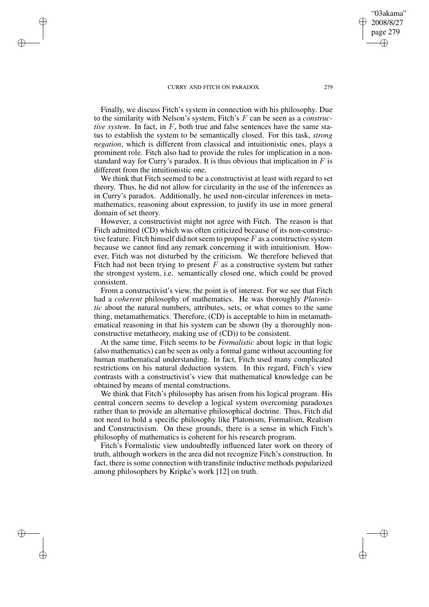✐

✐

✐

✐

Finally, we discuss Fitch's system in connection with his philosophy. Due to the similarity with Nelson's system, Fitch's F can be seen as a *constructive system*. In fact, in F, both true and false sentences have the same status to establish the system to be semantically closed. For this task, *strong negation*, which is different from classical and intuitionistic ones, plays a prominent role. Fitch also had to provide the rules for implication in a nonstandard way for Curry's paradox. It is thus obvious that implication in  $F$  is different from the intuitionistic one.

We think that Fitch seemed to be a constructivist at least with regard to set theory. Thus, he did not allow for circularity in the use of the inferences as in Curry's paradox. Additionally, he used non-circular inferences in metamathematics, reasoning about expression, to justify its use in more general domain of set theory.

However, a constructivist might not agree with Fitch. The reason is that Fitch admitted (CD) which was often criticized because of its non-constructive feature. Fitch himself did not seem to propose  $F$  as a constructive system because we cannot find any remark concerning it with intuitionism. However, Fitch was not disturbed by the criticism. We therefore believed that Fitch had not been trying to present  $F$  as a constructive system but rather the strongest system, i.e. semantically closed one, which could be proved consistent.

From a constructivist's view, the point is of interest. For we see that Fitch had a *coherent* philosophy of mathematics. He was thoroughly *Platonistic* about the natural numbers, attributes, sets, or what comes to the same thing, metamathematics. Therefore, (CD) is acceptable to him in metamathematical reasoning in that his system can be shown (by a thoroughly nonconstructive metatheory, making use of (CD)) to be consistent.

At the same time, Fitch seems to be *Formalistic* about logic in that logic (also mathematics) can be seen as only a formal game without accounting for human mathematical understanding. In fact, Fitch used many complicated restrictions on his natural deduction system. In this regard, Fitch's view contrasts with a constructivist's view that mathematical knowledge can be obtained by means of mental constructions.

We think that Fitch's philosophy has arisen from his logical program. His central concern seems to develop a logical system overcoming paradoxes rather than to provide an alternative philosophical doctrine. Thus, Fitch did not need to hold a specific philosophy like Platonism, Formalism, Realism and Constructivism. On these grounds, there is a sense in which Fitch's philosophy of mathematics is coherent for his research program.

Fitch's Formalistic view undoubtedly influenced later work on theory of truth, although workers in the area did not recognize Fitch's construction. In fact, there is some connection with transfinite inductive methods popularized among philosophers by Kripke's work [12] on truth.

"03akama" 2008/8/27 page 279

✐

✐

✐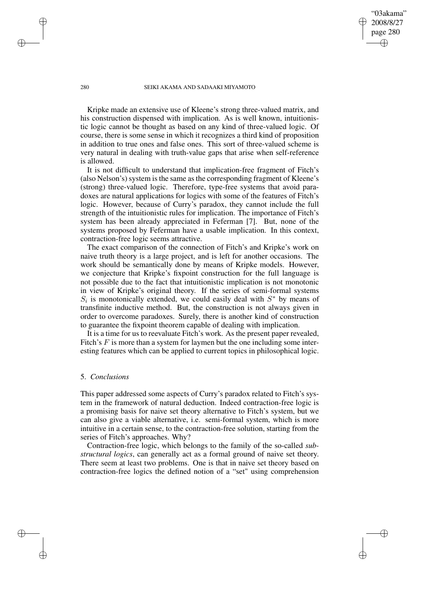"03akama" 2008/8/27 page 280

✐

✐

✐

✐

Kripke made an extensive use of Kleene's strong three-valued matrix, and his construction dispensed with implication. As is well known, intuitionistic logic cannot be thought as based on any kind of three-valued logic. Of course, there is some sense in which it recognizes a third kind of proposition in addition to true ones and false ones. This sort of three-valued scheme is very natural in dealing with truth-value gaps that arise when self-reference is allowed.

It is not difficult to understand that implication-free fragment of Fitch's (also Nelson's) system is the same as the corresponding fragment of Kleene's (strong) three-valued logic. Therefore, type-free systems that avoid paradoxes are natural applications for logics with some of the features of Fitch's logic. However, because of Curry's paradox, they cannot include the full strength of the intuitionistic rules for implication. The importance of Fitch's system has been already appreciated in Feferman [7]. But, none of the systems proposed by Feferman have a usable implication. In this context, contraction-free logic seems attractive.

The exact comparison of the connection of Fitch's and Kripke's work on naive truth theory is a large project, and is left for another occasions. The work should be semantically done by means of Kripke models. However, we conjecture that Kripke's fixpoint construction for the full language is not possible due to the fact that intuitionistic implication is not monotonic in view of Kripke's original theory. If the series of semi-formal systems  $S_i$  is monotonically extended, we could easily deal with  $S^*$  by means of transfinite inductive method. But, the construction is not always given in order to overcome paradoxes. Surely, there is another kind of construction to guarantee the fixpoint theorem capable of dealing with implication.

It is a time for us to reevaluate Fitch's work. As the present paper revealed, Fitch's  $F$  is more than a system for laymen but the one including some interesting features which can be applied to current topics in philosophical logic.

## 5. *Conclusions*

This paper addressed some aspects of Curry's paradox related to Fitch's system in the framework of natural deduction. Indeed contraction-free logic is a promising basis for naive set theory alternative to Fitch's system, but we can also give a viable alternative, i.e. semi-formal system, which is more intuitive in a certain sense, to the contraction-free solution, starting from the series of Fitch's approaches. Why?

Contraction-free logic, which belongs to the family of the so-called *substructural logics*, can generally act as a formal ground of naive set theory. There seem at least two problems. One is that in naive set theory based on contraction-free logics the defined notion of a "set" using comprehension

✐

✐

✐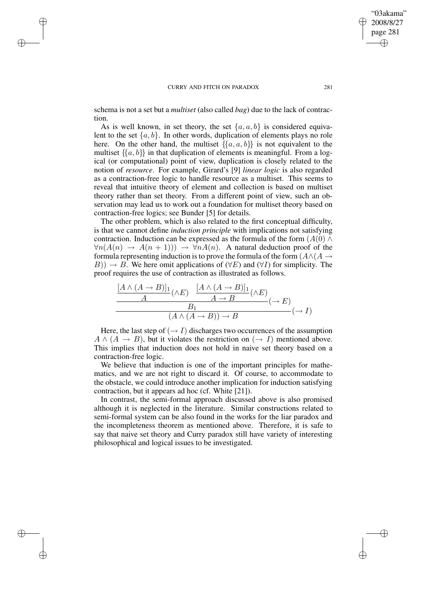✐

✐

✐

✐

schema is not a set but a *multiset* (also called *bag*) due to the lack of contraction.

As is well known, in set theory, the set  $\{a, a, b\}$  is considered equivalent to the set  $\{a, b\}$ . In other words, duplication of elements plays no role here. On the other hand, the multiset  $\{\{a, a, b\}\}\$ is not equivalent to the multiset  $\{\{a, b\}\}\$ in that duplication of elements is meaningful. From a logical (or computational) point of view, duplication is closely related to the notion of *resource*. For example, Girard's [9] *linear logic* is also regarded as a contraction-free logic to handle resource as a multiset. This seems to reveal that intuitive theory of element and collection is based on multiset theory rather than set theory. From a different point of view, such an observation may lead us to work out a foundation for multiset theory based on contraction-free logics; see Bunder [5] for details.

The other problem, which is also related to the first conceptual difficulty, is that we cannot define *induction principle* with implications not satisfying contraction. Induction can be expressed as the formula of the form  $(A(0) \wedge$  $\forall n(A(n) \rightarrow A(n+1))$   $\rightarrow \forall nA(n)$ . A natural deduction proof of the formula representing induction is to prove the formula of the form  $(A \wedge (A \rightarrow$  $B$ ))  $\rightarrow$  B. We here omit applications of ( $\forall E$ ) and ( $\forall I$ ) for simplicity. The proof requires the use of contraction as illustrated as follows.

$$
\frac{\frac{[A \wedge (A \to B)]_1}{A}(\wedge E) \qquad \frac{[A \wedge (A \to B)]_1}{A \to B}(\wedge E)}{(A \wedge (A \to B)) \to B} (\to I)
$$

Here, the last step of  $(\rightarrow I)$  discharges two occurrences of the assumption  $A \wedge (A \rightarrow B)$ , but it violates the restriction on  $(\rightarrow I)$  mentioned above. This implies that induction does not hold in naive set theory based on a contraction-free logic.

We believe that induction is one of the important principles for mathematics, and we are not right to discard it. Of course, to accommodate to the obstacle, we could introduce another implication for induction satisfying contraction, but it appears ad hoc (cf. White [21]).

In contrast, the semi-formal approach discussed above is also promised although it is neglected in the literature. Similar constructions related to semi-formal system can be also found in the works for the liar paradox and the incompleteness theorem as mentioned above. Therefore, it is safe to say that naive set theory and Curry paradox still have variety of interesting philosophical and logical issues to be investigated.

"03akama" 2008/8/27 page 281

✐

✐

✐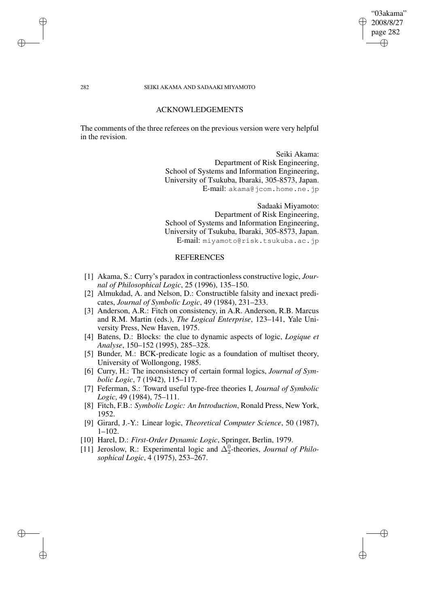### ACKNOWLEDGEMENTS

The comments of the three referees on the previous version were very helpful in the revision.

> Seiki Akama: Department of Risk Engineering, School of Systems and Information Engineering, University of Tsukuba, Ibaraki, 305-8573, Japan. E-mail: akama@jcom.home.ne.jp

> Sadaaki Miyamoto: Department of Risk Engineering, School of Systems and Information Engineering, University of Tsukuba, Ibaraki, 305-8573, Japan. E-mail: miyamoto@risk.tsukuba.ac.jp

# **REFERENCES**

- [1] Akama, S.: Curry's paradox in contractionless constructive logic, *Journal of Philosophical Logic*, 25 (1996), 135–150.
- [2] Almukdad, A. and Nelson, D.: Constructible falsity and inexact predicates, *Journal of Symbolic Logic*, 49 (1984), 231–233.
- [3] Anderson, A.R.: Fitch on consistency, in A.R. Anderson, R.B. Marcus and R.M. Martin (eds.), *The Logical Enterprise*, 123–141, Yale University Press, New Haven, 1975.
- [4] Batens, D.: Blocks: the clue to dynamic aspects of logic, *Logique et Analyse*, 150–152 (1995), 285–328.
- [5] Bunder, M.: BCK-predicate logic as a foundation of multiset theory, University of Wollongong, 1985.
- [6] Curry, H.: The inconsistency of certain formal logics, *Journal of Symbolic Logic*, 7 (1942), 115–117.
- [7] Feferman, S.: Toward useful type-free theories I, *Journal of Symbolic Logic*, 49 (1984), 75–111.
- [8] Fitch, F.B.: *Symbolic Logic: An Introduction*, Ronald Press, New York, 1952.
- [9] Girard, J.-Y.: Linear logic, *Theoretical Computer Science*, 50 (1987), 1–102.
- [10] Harel, D.: *First-Order Dynamic Logic*, Springer, Berlin, 1979.
- [11] Jeroslow, R.: Experimental logic and  $\Delta_2^0$ -theories, *Journal of Philosophical Logic*, 4 (1975), 253–267.

"03akama" 2008/8/27 page 282 ✐ ✐

✐

✐

✐

✐

✐